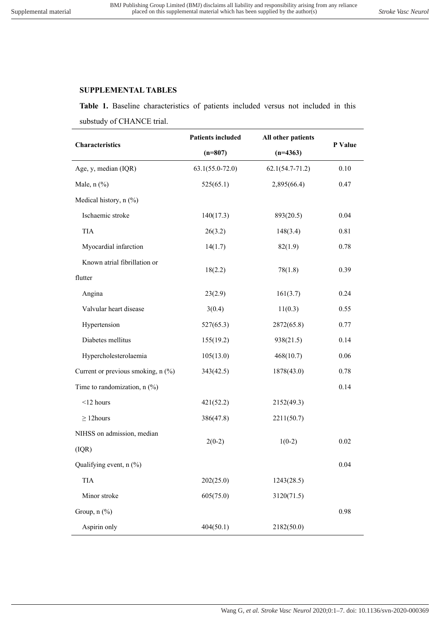## **SUPPLEMENTAL TABLES**

**Table 1.** Baseline characteristics of patients included versus not included in this substudy of CHANCE trial.

| Characteristics                    | <b>Patients included</b> | All other patients  | P Value |
|------------------------------------|--------------------------|---------------------|---------|
|                                    | $(n=807)$                | $(n=4363)$          |         |
| Age, y, median (IQR)               | $63.1(55.0-72.0)$        | $62.1(54.7 - 71.2)$ | 0.10    |
| Male, $n$ $%$                      | 525(65.1)                | 2,895(66.4)         | 0.47    |
| Medical history, n (%)             |                          |                     |         |
| Ischaemic stroke                   | 140(17.3)                | 893(20.5)           | 0.04    |
| TIA                                | 26(3.2)                  | 148(3.4)            | 0.81    |
| Myocardial infarction              | 14(1.7)                  | 82(1.9)             | 0.78    |
| Known atrial fibrillation or       |                          |                     |         |
| flutter                            | 18(2.2)                  | 78(1.8)             | 0.39    |
| Angina                             | 23(2.9)                  | 161(3.7)            | 0.24    |
| Valvular heart disease             | 3(0.4)                   | 11(0.3)             | 0.55    |
| Hypertension                       | 527(65.3)                | 2872(65.8)          | 0.77    |
| Diabetes mellitus                  | 155(19.2)                | 938(21.5)           | 0.14    |
| Hypercholesterolaemia              | 105(13.0)                | 468(10.7)           | 0.06    |
| Current or previous smoking, n (%) | 343(42.5)                | 1878(43.0)          | 0.78    |
| Time to randomization, $n$ (%)     |                          |                     | 0.14    |
| $<$ 12 hours                       | 421(52.2)                | 2152(49.3)          |         |
| $\geq$ 12 hours                    | 386(47.8)                | 2211(50.7)          |         |
| NIHSS on admission, median         |                          |                     | 0.02    |
| (IQR)                              | $2(0-2)$                 | $1(0-2)$            |         |
| Qualifying event, n (%)            |                          |                     | 0.04    |
| TIA                                | 202(25.0)                | 1243(28.5)          |         |
| Minor stroke                       | 605(75.0)                | 3120(71.5)          |         |
| Group, $n$ $(\%)$                  |                          |                     | 0.98    |
| Aspirin only                       | 404(50.1)                | 2182(50.0)          |         |